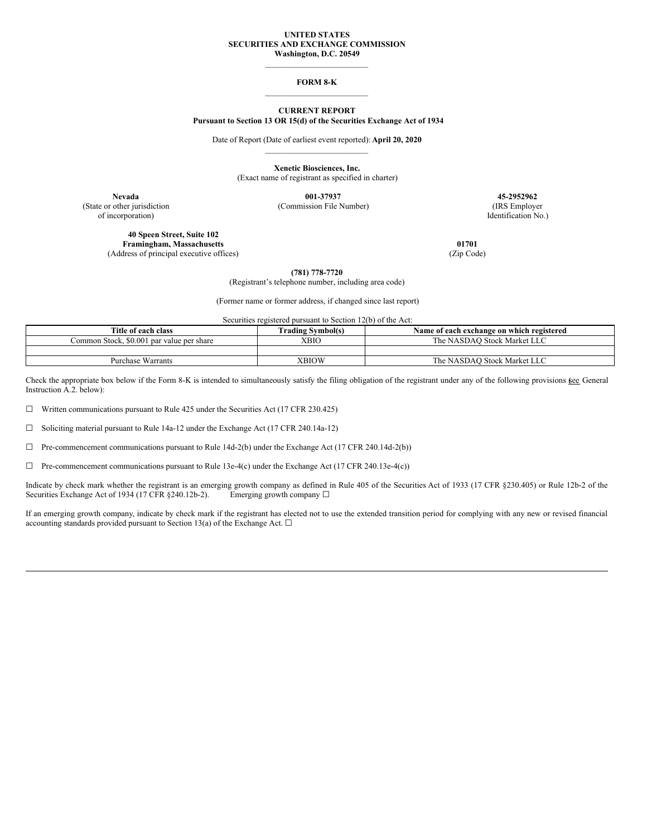## **UNITED STATES SECURITIES AND EXCHANGE COMMISSION Washington, D.C. 20549**

\_\_\_\_\_\_\_\_\_\_\_\_\_\_\_\_\_\_\_\_\_\_\_\_\_

### **FORM 8-K** \_\_\_\_\_\_\_\_\_\_\_\_\_\_\_\_\_\_\_\_\_\_\_\_\_

## **CURRENT REPORT Pursuant to Section 13 OR 15(d) of the Securities Exchange Act of 1934**

Date of Report (Date of earliest event reported): **April 20, 2020** \_\_\_\_\_\_\_\_\_\_\_\_\_\_\_\_\_\_\_\_\_\_\_\_\_

**Xenetic Biosciences, Inc.**

(Exact name of registrant as specified in charter)

(State or other jurisdiction (Commission File Number) (IRS Employer of incorporation) Identification No.)

**40 Speen Street, Suite 102 Framingham, Massachusetts 01701**<br>dress of principal executive offices) (Zip Code) (2ip Code) (Address of principal executive offices)

**Nevada 001-37937 45-2952962**

**(781) 778-7720**

(Registrant's telephone number, including area code)

(Former name or former address, if changed since last report)

Securities registered pursuant to Section 12(b) of the Act:

| Title of each class                       | <b>Trading Symbol(s)</b> | Name of each exchange on which registered |
|-------------------------------------------|--------------------------|-------------------------------------------|
| Common Stock, \$0.001 par value per share | <b>XBIO</b>              | The NASDAO Stock Market LLC               |
|                                           |                          |                                           |
| <b>Purchase Warrants</b>                  | XBIOW                    | The NASDAO Stock Market LLC               |

Check the appropriate box below if the Form 8-K is intended to simultaneously satisfy the filing obligation of the registrant under any of the following provisions kee General Instruction A.2. below):

☐ Written communications pursuant to Rule 425 under the Securities Act (17 CFR 230.425)

☐ Soliciting material pursuant to Rule 14a-12 under the Exchange Act (17 CFR 240.14a-12)

☐ Pre-commencement communications pursuant to Rule 14d-2(b) under the Exchange Act (17 CFR 240.14d-2(b))

☐ Pre-commencement communications pursuant to Rule 13e-4(c) under the Exchange Act (17 CFR 240.13e-4(c))

Indicate by check mark whether the registrant is an emerging growth company as defined in Rule 405 of the Securities Act of 1933 (17 CFR §230.405) or Rule 12b-2 of the Securities Exchange Act of 1934 (17 CFR §240.12b-2). Emerging growth company □

If an emerging growth company, indicate by check mark if the registrant has elected not to use the extended transition period for complying with any new or revised financial accounting standards provided pursuant to Section 13(a) of the Exchange Act.  $\Box$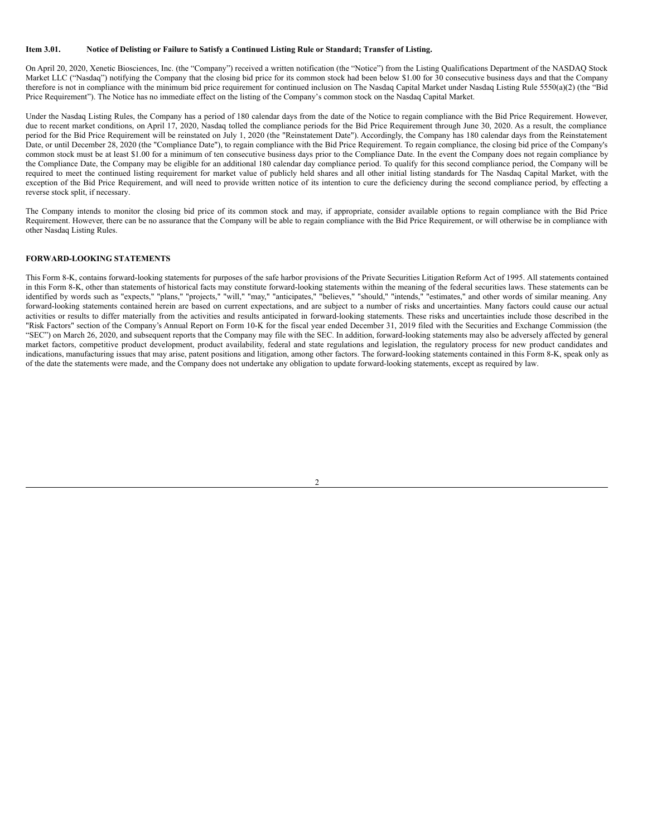#### Item 3.01. Notice of Delisting or Failure to Satisfy a Continued Listing Rule or Standard; Transfer of Listing.

On April 20, 2020, Xenetic Biosciences, Inc. (the "Company") received a written notification (the "Notice") from the Listing Qualifications Department of the NASDAQ Stock Market LLC ("Nasdaq") notifying the Company that the closing bid price for its common stock had been below \$1.00 for 30 consecutive business days and that the Company therefore is not in compliance with the minimum bid price requirement for continued inclusion on The Nasdaq Capital Market under Nasdaq Listing Rule 5550(a)(2) (the "Bid Price Requirement"). The Notice has no immediate effect on the listing of the Company's common stock on the Nasdaq Capital Market.

Under the Nasdaq Listing Rules, the Company has a period of 180 calendar days from the date of the Notice to regain compliance with the Bid Price Requirement. However, due to recent market conditions, on April 17, 2020, Nasdaq tolled the compliance periods for the Bid Price Requirement through June 30, 2020. As a result, the compliance period for the Bid Price Requirement will be reinstated on July 1, 2020 (the "Reinstatement Date"). Accordingly, the Company has 180 calendar days from the Reinstatement Date, or until December 28, 2020 (the "Compliance Date"), to regain compliance with the Bid Price Requirement. To regain compliance, the closing bid price of the Company's common stock must be at least \$1.00 for a minimum of ten consecutive business days prior to the Compliance Date. In the event the Company does not regain compliance by the Compliance Date, the Company may be eligible for an additional 180 calendar day compliance period. To qualify for this second compliance period, the Company will be required to meet the continued listing requirement for market value of publicly held shares and all other initial listing standards for The Nasdaq Capital Market, with the exception of the Bid Price Requirement, and will need to provide written notice of its intention to cure the deficiency during the second compliance period, by effecting a reverse stock split, if necessary.

The Company intends to monitor the closing bid price of its common stock and may, if appropriate, consider available options to regain compliance with the Bid Price Requirement. However, there can be no assurance that the Company will be able to regain compliance with the Bid Price Requirement, or will otherwise be in compliance with other Nasdaq Listing Rules.

# **FORWARD-LOOKING STATEMENTS**

This Form 8-K, contains forward-looking statements for purposes of the safe harbor provisions of the Private Securities Litigation Reform Act of 1995. All statements contained in this Form 8-K, other than statements of historical facts may constitute forward-looking statements within the meaning of the federal securities laws. These statements can be identified by words such as "expects," "plans," "projects," "will," "may," "anticipates," "believes," "should," "intends," "estimates," and other words of similar meaning. Any forward-looking statements contained herein are based on current expectations, and are subject to a number of risks and uncertainties. Many factors could cause our actual activities or results to differ materially from the activities and results anticipated in forward-looking statements. These risks and uncertainties include those described in the "Risk Factors" section of the Company's Annual Report on Form 10-K for the fiscal year ended December 31, 2019 filed with the Securities and Exchange Commission (the "SEC") on March 26, 2020, and subsequent reports that the Company may file with the SEC. In addition, forward-looking statements may also be adversely affected by general market factors, competitive product development, product availability, federal and state regulations and legislation, the regulatory process for new product candidates and indications, manufacturing issues that may arise, patent positions and litigation, among other factors. The forward-looking statements contained in this Form 8-K, speak only as of the date the statements were made, and the Company does not undertake any obligation to update forward-looking statements, except as required by law.